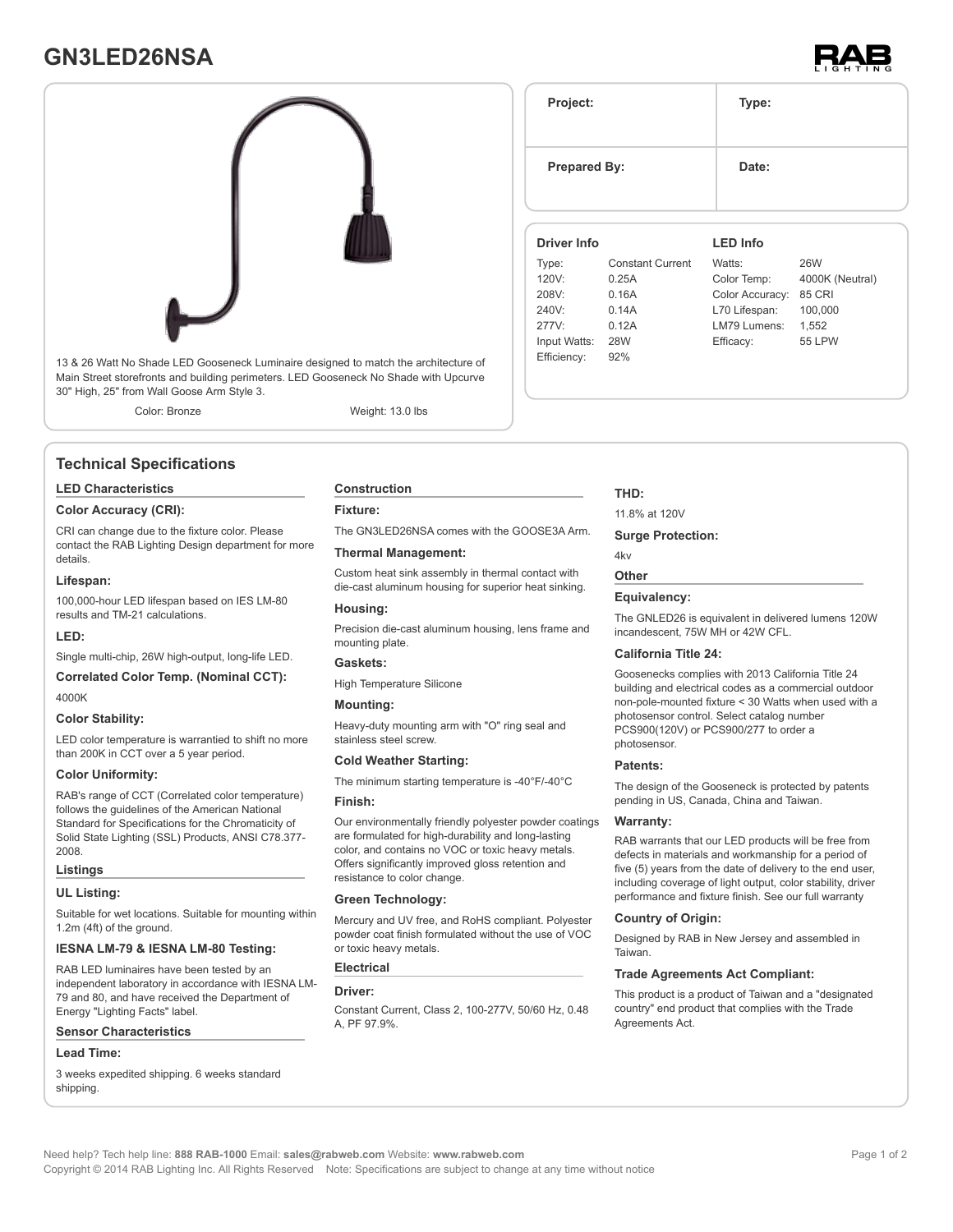## **GN3LED26NSA**





13 & 26 Watt No Shade LED Gooseneck Luminaire designed to match the architecture of Main Street storefronts and building perimeters. LED Gooseneck No Shade with Upcurve 30" High, 25" from Wall Goose Arm Style 3.

Color: Bronze Weight: 13.0 lbs

#### **Technical Specifications**

#### **LED Characteristics**

#### **Color Accuracy (CRI):**

CRI can change due to the fixture color. Please contact the RAB Lighting Design department for more details.

#### **Lifespan:**

100,000-hour LED lifespan based on IES LM-80 results and TM-21 calculations.

#### **LED:**

Single multi-chip, 26W high-output, long-life LED.

**Correlated Color Temp. (Nominal CCT):** 4000K

#### **Color Stability:**

LED color temperature is warrantied to shift no more than 200K in CCT over a 5 year period.

#### **Color Uniformity:**

RAB's range of CCT (Correlated color temperature) follows the guidelines of the American National Standard for Specifications for the Chromaticity of Solid State Lighting (SSL) Products, ANSI C78.377- 2008.

#### **Listings**

#### **UL Listing:**

Suitable for wet locations. Suitable for mounting within 1.2m (4ft) of the ground.

#### **IESNA LM-79 & IESNA LM-80 Testing:**

RAB LED luminaires have been tested by an independent laboratory in accordance with IESNA LM-79 and 80, and have received the Department of Energy "Lighting Facts" label.

#### **Sensor Characteristics**

#### **Lead Time:**

3 weeks expedited shipping. 6 weeks standard shipping.

### **Construction**

**Fixture:**

The GN3LED26NSA comes with the GOOSE3A Arm.

#### **Thermal Management:**

Custom heat sink assembly in thermal contact with die-cast aluminum housing for superior heat sinking.

#### **Housing:**

Precision die-cast aluminum housing, lens frame and mounting plate.

#### **Gaskets:**

High Temperature Silicone

#### **Mounting:**

Heavy-duty mounting arm with "O" ring seal and stainless steel screw.

#### **Cold Weather Starting:**

The minimum starting temperature is -40°F/-40°C

#### **Finish:**

Our environmentally friendly polyester powder coatings are formulated for high-durability and long-lasting color, and contains no VOC or toxic heavy metals. Offers significantly improved gloss retention and resistance to color change.

#### **Green Technology:**

Mercury and UV free, and RoHS compliant. Polyester powder coat finish formulated without the use of VOC or toxic heavy metals.

#### **Electrical**

#### **Driver:**

Constant Current, Class 2, 100-277V, 50/60 Hz, 0.48 A, PF 97.9%.

# Efficiency: 92%

**Project: Type:**

**Prepared By:** Date:

**Driver Info**

Type: Constant Current

**THD:**

11.8% at 120V

#### **Surge Protection:**

#### 4kv **Other**

#### **Equivalency:**

The GNLED26 is equivalent in delivered lumens 120W incandescent, 75W MH or 42W CFL.

#### **California Title 24:**

Goosenecks complies with 2013 California Title 24 building and electrical codes as a commercial outdoor non-pole-mounted fixture < 30 Watts when used with a photosensor control. Select catalog number PCS900(120V) or PCS900/277 to order a photosensor.

#### **Patents:**

The design of the Gooseneck is protected by patents pending in US, Canada, China and Taiwan.

#### **Warranty:**

RAB warrants that our LED products will be free from defects in materials and workmanship for a period of five (5) years from the date of delivery to the end user, including coverage of light output, color stability, driver performance and fixture finish. See our full warranty

#### **Country of Origin:**

Designed by RAB in New Jersey and assembled in **Taiwan** 

#### **Trade Agreements Act Compliant:**

This product is a product of Taiwan and a "designated country" end product that complies with the Trade Agreements Act.

#### 120V: 0.25A 208V: 0.16A 240V: 0.14A 277V: 0.12A Input Watts: 28W Color Temp: 4000K (Neutral) Color Accuracy: 85 CRI L70 Lifespan: 100,000 LM79 Lumens: 1,552 Efficacy: 55 LPW

**LED Info**

Watts: 26W